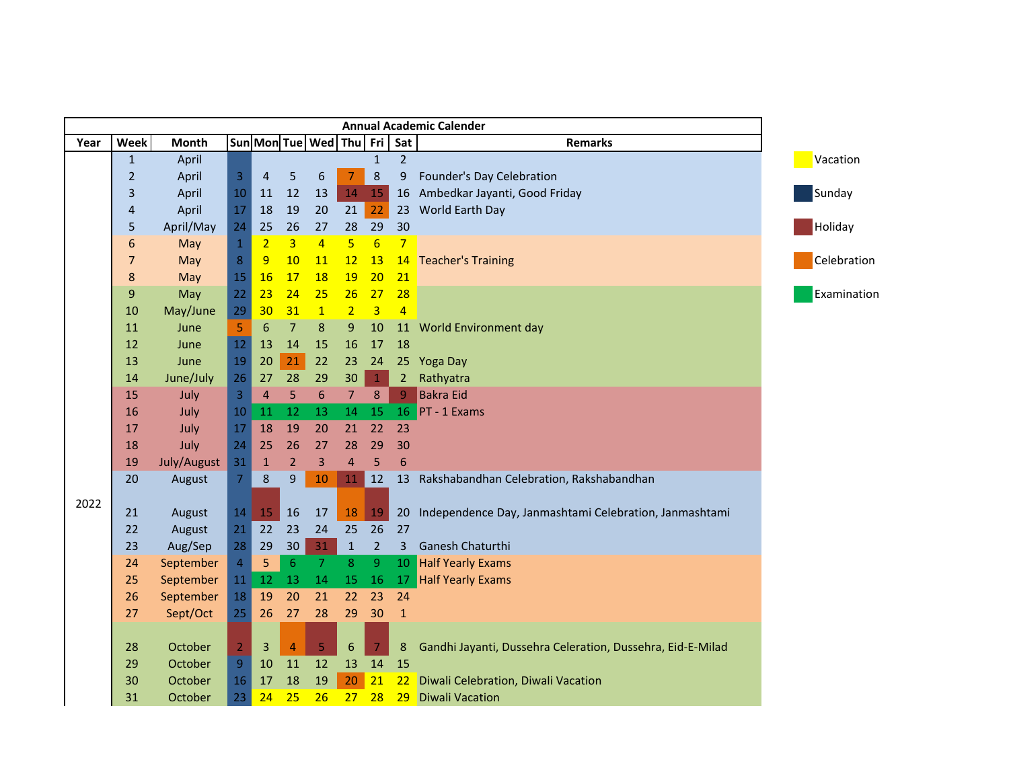| <b>Annual Academic Calender</b> |                  |             |                                  |                |                |                         |                  |                 |                 |                                                            |  |
|---------------------------------|------------------|-------------|----------------------------------|----------------|----------------|-------------------------|------------------|-----------------|-----------------|------------------------------------------------------------|--|
| Year                            | Week             | Month       |                                  |                |                | Sun Mon Tue Wed Thu Fri |                  |                 | Sat             | <b>Remarks</b>                                             |  |
|                                 | $\mathbf{1}$     | April       |                                  |                |                |                         |                  | $\mathbf{1}$    | $\overline{2}$  |                                                            |  |
|                                 | $\overline{2}$   | April       | $\overline{3}$                   | $\overline{4}$ | 5              | 6                       | $\overline{7}$   | 8               | 9               | Founder's Day Celebration                                  |  |
|                                 | $\overline{3}$   | April       | 10                               | 11             | 12             | 13                      | 14               | 15              | 16              | Ambedkar Jayanti, Good Friday                              |  |
|                                 | 4                | April       | 17                               | 18             | 19             | 20                      | 21               | 22              | 23              | World Earth Day                                            |  |
|                                 | 5                | April/May   | 24                               | 25             | 26             | 27                      | 28               | 29              | 30              |                                                            |  |
|                                 | $\boldsymbol{6}$ | May         | $\,1\,$                          | $\overline{2}$ | $\overline{3}$ | $\overline{4}$          | 5                | $6 \overline{}$ | 7               |                                                            |  |
|                                 | $\overline{7}$   | May         | $\boldsymbol{8}$                 | 9              | 10             | 11                      | 12               | 13              | 14              | <b>Teacher's Training</b>                                  |  |
|                                 | $\bf 8$          | May         | 15                               | <b>16</b>      | 17             | 18                      | 19               | 20              | 21              |                                                            |  |
|                                 | $\boldsymbol{9}$ | May         | 22                               | 23             | 24             | 25                      | 26               | 27              | 28              |                                                            |  |
|                                 | 10               | May/June    | 29                               | 30             | 31             | $\mathbf{1}$            | 2                | $\overline{3}$  | $\overline{4}$  |                                                            |  |
|                                 | 11               | June        | 5                                | 6              | 7              | 8                       | 9                | 10              | 11              | World Environment day                                      |  |
|                                 | 12               | June        | 12                               | 13             | 14             | 15                      | 16               | 17              | 18              |                                                            |  |
|                                 | 13               | June        | 19                               | 20             | 21             | 22                      | 23               | 24              |                 | 25 Yoga Day                                                |  |
|                                 | 14               | June/July   | 26                               | 27             | 28             | 29                      | 30               | $\mathbf{1}$    | $\overline{2}$  | Rathyatra                                                  |  |
|                                 | 15               | July        | $\overline{3}$                   | $\overline{4}$ | 5              | $6\phantom{.}6$         | 7 <sup>7</sup>   | 8               | $\overline{9}$  | <b>Bakra Eid</b>                                           |  |
|                                 | 16               | July        | 10                               | 11             | 12             | 13                      | 14               | 15              |                 | $16$ PT - 1 Exams                                          |  |
|                                 | 17               | July        | 17                               | 18             | 19             | 20                      | 21               | 22              | 23              |                                                            |  |
|                                 | 18               | July        | 24                               | 25             | 26             | 27                      | 28               | 29              | 30              |                                                            |  |
|                                 | 19               | July/August | 31                               | $\mathbf{1}$   | $\overline{2}$ | 3                       | $\overline{4}$   | 5               | $6\phantom{1}6$ |                                                            |  |
|                                 | 20               | August      | $\overline{7}$                   | $\bf 8$        | $\overline{9}$ | $10\,$                  | 11               | 12              |                 | 13 Rakshabandhan Celebration, Rakshabandhan                |  |
| 2022                            |                  |             |                                  |                |                |                         |                  |                 |                 |                                                            |  |
|                                 | 21               | August      | 14                               | 15             | 16             | 17                      | 18               | 19              | 20              | Independence Day, Janmashtami Celebration, Janmashtami     |  |
|                                 | 22               | August      | 21                               | 22             | 23             | 24                      | 25               | 26              | 27              |                                                            |  |
|                                 | 23               | Aug/Sep     | 28                               | 29             | 30             | 31                      | $\mathbf{1}$     | $\overline{2}$  | 3               | Ganesh Chaturthi                                           |  |
|                                 | 24               | September   | $\overline{4}$                   | 5              | $\sqrt{6}$     | $\overline{7}$          | 8                | 9               | 10              | <b>Half Yearly Exams</b>                                   |  |
|                                 | 25               | September   | 11                               | 12             | 13             | 14                      | 15               | 16              | 17              | <b>Half Yearly Exams</b>                                   |  |
|                                 | 26               | September   | 18                               | 19             | 20             | 21                      | 22               | 23              | 24              |                                                            |  |
|                                 | 27               | Sept/Oct    | 25                               | 26             | 27             | 28                      | 29               | 30              | $\mathbf{1}$    |                                                            |  |
|                                 |                  |             |                                  |                |                |                         |                  |                 |                 |                                                            |  |
|                                 | 28               | October     | $\overline{2}$<br>$\overline{9}$ | 3              | $\overline{4}$ | 5                       | $\boldsymbol{6}$ | $\overline{7}$  | $\bf 8$         | Gandhi Jayanti, Dussehra Celeration, Dussehra, Eid-E-Milad |  |
|                                 | 29               | October     |                                  | 10             | 11             | 12                      | 13               | 14              | 15              |                                                            |  |
|                                 | 30               | October     | 16                               | 17             | 18             | 19                      | 20               | 21              | 22              | Diwali Celebration, Diwali Vacation                        |  |
|                                 | 31               | October     | 23                               | 24             | 25             | 26                      | 27               | 28              | 29              | <b>Diwali Vacation</b>                                     |  |